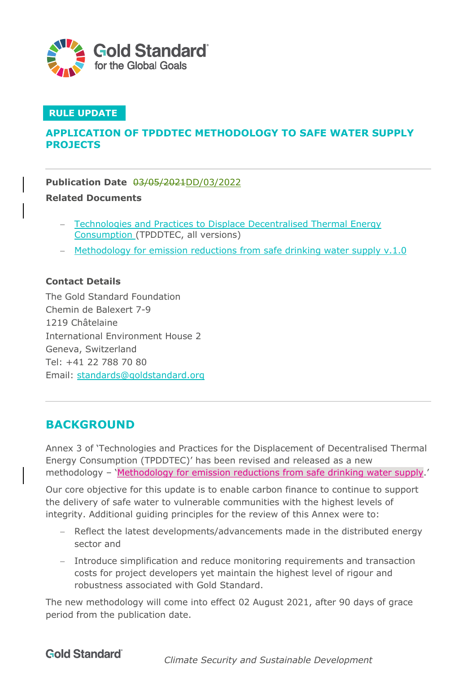

#### **RULE UPDATE**

## **APPLICATION OF TPDDTEC METHODOLOGY TO SAFE WATER SUPPLY PROJECTS**

**Publication Date** 03/05/2021DD/03/2022

#### **Related Documents**

- Technologies and Practices to Displace Decentralised Thermal Energy Consumption (TPDDTEC, all versions)
- Methodology for emission reductions from safe drinking water supply v.1.0

#### **Contact Details**

The Gold Standard Foundation Chemin de Balexert 7-9 1219 Châtelaine International Environment House 2 Geneva, Switzerland Tel: +41 22 788 70 80 Email: standards@goldstandard.org

# **BACKGROUND**

Annex 3 of 'Technologies and Practices for the Displacement of Decentralised Thermal Energy Consumption (TPDDTEC)' has been revised and released as a new methodology – 'Methodology for emission reductions from safe drinking water supply.'

Our core objective for this update is to enable carbon finance to continue to support the delivery of safe water to vulnerable communities with the highest levels of integrity. Additional guiding principles for the review of this Annex were to:

- Reflect the latest developments/advancements made in the distributed energy sector and
- Introduce simplification and reduce monitoring requirements and transaction costs for project developers yet maintain the highest level of rigour and robustness associated with Gold Standard.

The new methodology will come into effect 02 August 2021, after 90 days of grace period from the publication date.

# **Gold Standard**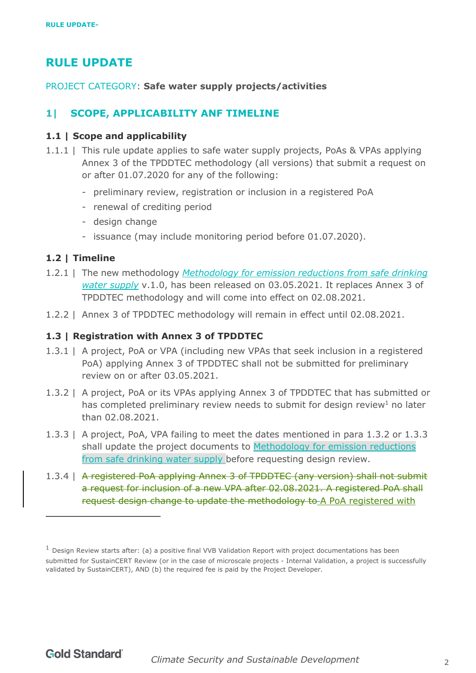# **RULE UPDATE**

PROJECT CATEGORY: **Safe water supply projects/activities**

# **1| SCOPE, APPLICABILITY ANF TIMELINE**

#### **1.1 | Scope and applicability**

- 1.1.1 | This rule update applies to safe water supply projects, PoAs & VPAs applying Annex 3 of the TPDDTEC methodology (all versions) that submit a request on or after 01.07.2020 for any of the following:
	- preliminary review, registration or inclusion in a registered PoA
	- renewal of crediting period
	- design change
	- issuance (may include monitoring period before 01.07.2020).

#### **1.2 | Timeline**

- 1.2.1 | The new methodology *Methodology for emission reductions from safe drinking water supply* v.1.0, has been released on 03.05.2021. It replaces Annex 3 of TPDDTEC methodology and will come into effect on 02.08.2021.
- 1.2.2 | Annex 3 of TPDDTEC methodology will remain in effect until 02.08.2021.

#### **1.3 | Registration with Annex 3 of TPDDTEC**

- 1.3.1 | A project, PoA or VPA (including new VPAs that seek inclusion in a registered PoA) applying Annex 3 of TPDDTEC shall not be submitted for preliminary review on or after 03.05.2021.
- 1.3.2 | A project, PoA or its VPAs applying Annex 3 of TPDDTEC that has submitted or has completed preliminary review needs to submit for design review<sup>1</sup> no later than 02.08.2021.
- 1.3.3 | A project, PoA, VPA failing to meet the dates mentioned in para 1.3.2 or 1.3.3 shall update the project documents to Methodology for emission reductions from safe drinking water supply before requesting design review.
- 1.3.4 | A registered PoA applying Annex 3 of TPDDTEC (any version) shall not submit a request for inclusion of a new VPA after 02.08.2021. A registered PoA shall request design change to update the methodology to A PoA registered with

 $<sup>1</sup>$  Design Review starts after: (a) a positive final VVB Validation Report with project documentations has been</sup> submitted for SustainCERT Review (or in the case of microscale projects - Internal Validation, a project is successfully validated by SustainCERT), AND (b) the required fee is paid by the Project Developer.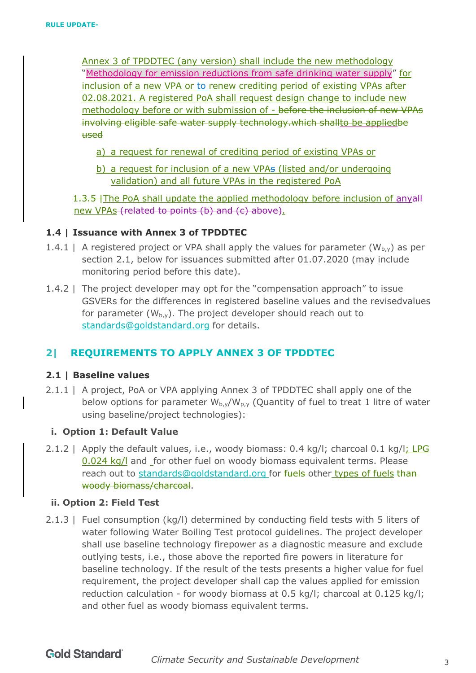Annex 3 of TPDDTEC (any version) shall include the new methodology "Methodology for emission reductions from safe drinking water supply" for inclusion of a new VPA or to renew crediting period of existing VPAs after 02.08.2021. A registered PoA shall request design change to include new methodology before or with submission of - before the inclusion of new VPAs involving eligible safe water supply technology.which shallto be appliedbe used

- a) a request for renewal of crediting period of existing VPAs or
- b) a request for inclusion of a new VPAs (listed and/or undergoing validation) and all future VPAs in the registered PoA

1.3.5 The PoA shall update the applied methodology before inclusion of anyall new VPAs (related to points (b) and (c) above).

#### **1.4 | Issuance with Annex 3 of TPDDTEC**

- 1.4.1 | A registered project or VPA shall apply the values for parameter  $(W_{b,y})$  as per section 2.1, below for issuances submitted after 01.07.2020 (may include monitoring period before this date).
- 1.4.2 | The project developer may opt for the "compensation approach" to issue GSVERs for the differences in registered baseline values and the revisedvalues for parameter  $(W_{b,y})$ . The project developer should reach out to standards@goldstandard.org for details.

## **2| REQUIREMENTS TO APPLY ANNEX 3 OF TPDDTEC**

#### **2.1 | Baseline values**

2.1.1 | A project, PoA or VPA applying Annex 3 of TPDDTEC shall apply one of the below options for parameter  $W_{b,y}/W_{p,y}$  (Quantity of fuel to treat 1 litre of water using baseline/project technologies):

#### **i. Option 1: Default Value**

2.1.2 | Apply the default values, i.e., woody biomass:  $0.4 \text{ kg/l}$ ; charcoal  $0.1 \text{ kg/l}$ ; LPG 0.024 kg/l and for other fuel on woody biomass equivalent terms. Please reach out to standards@goldstandard.org for fuels other types of fuels than woody biomass/charcoal.

#### **ii. Option 2: Field Test**

2.1.3 | Fuel consumption (kg/l) determined by conducting field tests with 5 liters of water following Water Boiling Test protocol guidelines. The project developer shall use baseline technology firepower as a diagnostic measure and exclude outlying tests, i.e., those above the reported fire powers in literature for baseline technology. If the result of the tests presents a higher value for fuel requirement, the project developer shall cap the values applied for emission reduction calculation - for woody biomass at 0.5 kg/l; charcoal at 0.125 kg/l; and other fuel as woody biomass equivalent terms.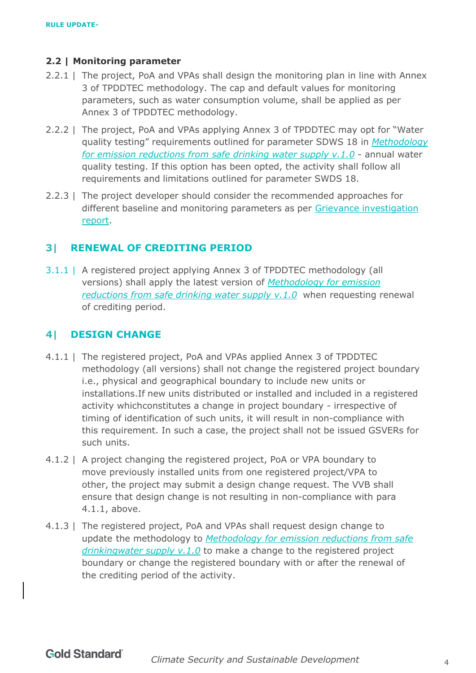#### **2.2 | Monitoring parameter**

- 2.2.1 | The project, PoA and VPAs shall design the monitoring plan in line with Annex 3 of TPDDTEC methodology. The cap and default values for monitoring parameters, such as water consumption volume, shall be applied as per Annex 3 of TPDDTEC methodology.
- 2.2.2 | The project, PoA and VPAs applying Annex 3 of TPDDTEC may opt for "Water quality testing" requirements outlined for parameter SDWS 18 in *Methodology for emission reductions from safe drinking water supply v.1.0* - annual water quality testing. If this option has been opted, the activity shall follow all requirements and limitations outlined for parameter SWDS 18.
- 2.2.3 | The project developer should consider the recommended approaches for different baseline and monitoring parameters as per Grievance investigation report.

## **3| RENEWAL OF CREDITING PERIOD**

3.1.1 | A registered project applying Annex 3 of TPDDTEC methodology (all versions) shall apply the latest version of *Methodology for emission reductions from safe drinking water supply v.1.0* when requesting renewal of crediting period.

### **4| DESIGN CHANGE**

- 4.1.1 | The registered project, PoA and VPAs applied Annex 3 of TPDDTEC methodology (all versions) shall not change the registered project boundary i.e., physical and geographical boundary to include new units or installations.If new units distributed or installed and included in a registered activity whichconstitutes a change in project boundary - irrespective of timing of identification of such units, it will result in non-compliance with this requirement. In such a case, the project shall not be issued GSVERs for such units.
- 4.1.2 | A project changing the registered project, PoA or VPA boundary to move previously installed units from one registered project/VPA to other, the project may submit a design change request. The VVB shall ensure that design change is not resulting in non-compliance with para 4.1.1, above.
- 4.1.3 | The registered project, PoA and VPAs shall request design change to update the methodology to *Methodology for emission reductions from safe drinkingwater supply v.1.0* to make a change to the registered project boundary or change the registered boundary with or after the renewal of the crediting period of the activity.